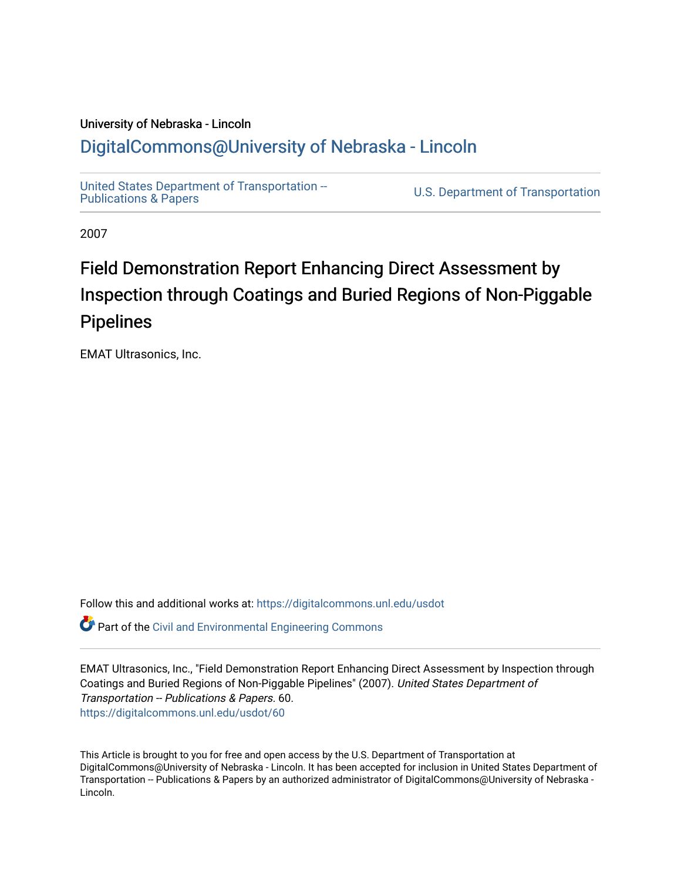## University of Nebraska - Lincoln [DigitalCommons@University of Nebraska - Lincoln](https://digitalcommons.unl.edu/)

[United States Department of Transportation --](https://digitalcommons.unl.edu/usdot)<br>Publications & Papers

U.S. Department of Transportation

2007

# Field Demonstration Report Enhancing Direct Assessment by Inspection through Coatings and Buried Regions of Non-Piggable Pipelines

EMAT Ultrasonics, Inc.

Follow this and additional works at: [https://digitalcommons.unl.edu/usdot](https://digitalcommons.unl.edu/usdot?utm_source=digitalcommons.unl.edu%2Fusdot%2F60&utm_medium=PDF&utm_campaign=PDFCoverPages) 

Part of the [Civil and Environmental Engineering Commons](http://network.bepress.com/hgg/discipline/251?utm_source=digitalcommons.unl.edu%2Fusdot%2F60&utm_medium=PDF&utm_campaign=PDFCoverPages)

EMAT Ultrasonics, Inc., "Field Demonstration Report Enhancing Direct Assessment by Inspection through Coatings and Buried Regions of Non-Piggable Pipelines" (2007). United States Department of Transportation -- Publications & Papers. 60. [https://digitalcommons.unl.edu/usdot/60](https://digitalcommons.unl.edu/usdot/60?utm_source=digitalcommons.unl.edu%2Fusdot%2F60&utm_medium=PDF&utm_campaign=PDFCoverPages)

This Article is brought to you for free and open access by the U.S. Department of Transportation at DigitalCommons@University of Nebraska - Lincoln. It has been accepted for inclusion in United States Department of Transportation -- Publications & Papers by an authorized administrator of DigitalCommons@University of Nebraska -Lincoln.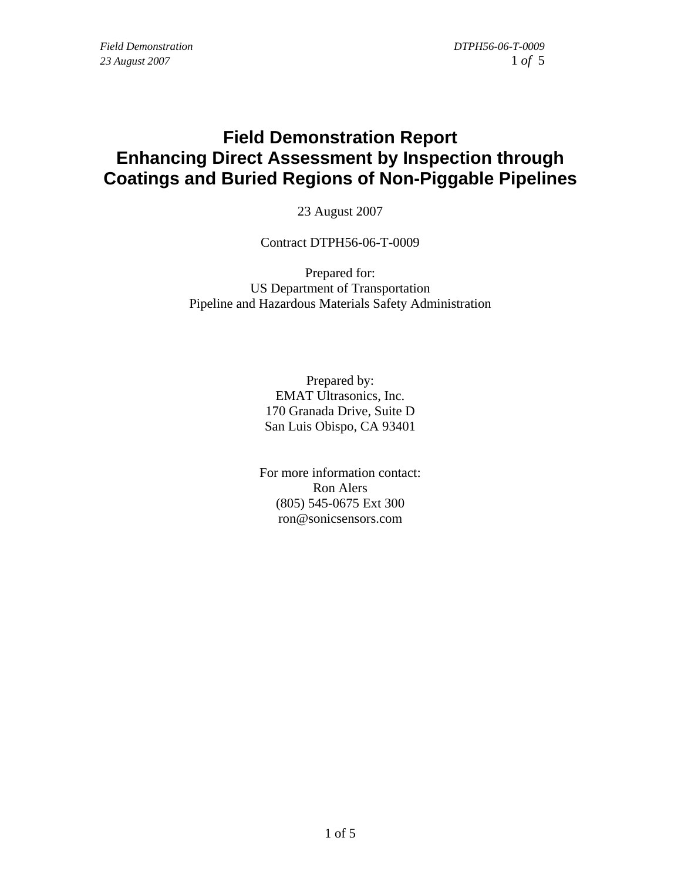## **Field Demonstration Report Enhancing Direct Assessment by Inspection through Coatings and Buried Regions of Non-Piggable Pipelines**

23 August 2007

Contract DTPH56-06-T-0009

Prepared for: US Department of Transportation Pipeline and Hazardous Materials Safety Administration

> Prepared by: EMAT Ultrasonics, Inc. 170 Granada Drive, Suite D San Luis Obispo, CA 93401

For more information contact: Ron Alers (805) 545-0675 Ext 300 ron@sonicsensors.com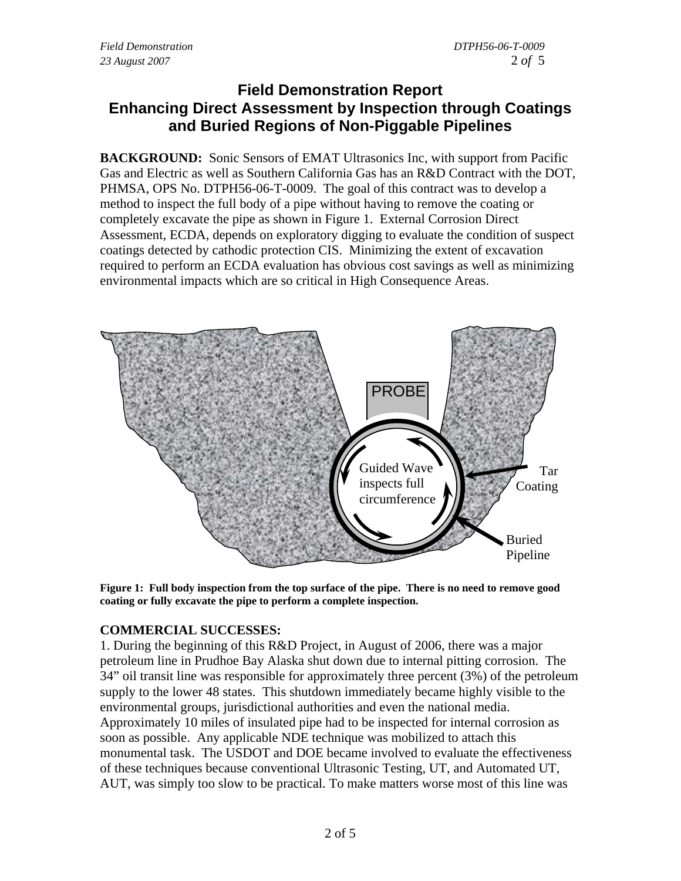### **Field Demonstration Report Enhancing Direct Assessment by Inspection through Coatings and Buried Regions of Non-Piggable Pipelines**

**BACKGROUND:** Sonic Sensors of EMAT Ultrasonics Inc, with support from Pacific Gas and Electric as well as Southern California Gas has an R&D Contract with the DOT, PHMSA, OPS No. DTPH56-06-T-0009. The goal of this contract was to develop a method to inspect the full body of a pipe without having to remove the coating or completely excavate the pipe as shown in Figure 1. External Corrosion Direct Assessment, ECDA, depends on exploratory digging to evaluate the condition of suspect coatings detected by cathodic protection CIS. Minimizing the extent of excavation required to perform an ECDA evaluation has obvious cost savings as well as minimizing environmental impacts which are so critical in High Consequence Areas.



**Figure 1: Full body inspection from the top surface of the pipe. There is no need to remove good coating or fully excavate the pipe to perform a complete inspection.** 

#### **COMMERCIAL SUCCESSES:**

1. During the beginning of this R&D Project, in August of 2006, there was a major petroleum line in Prudhoe Bay Alaska shut down due to internal pitting corrosion. The 34" oil transit line was responsible for approximately three percent (3%) of the petroleum supply to the lower 48 states. This shutdown immediately became highly visible to the environmental groups, jurisdictional authorities and even the national media. Approximately 10 miles of insulated pipe had to be inspected for internal corrosion as soon as possible. Any applicable NDE technique was mobilized to attach this monumental task. The USDOT and DOE became involved to evaluate the effectiveness of these techniques because conventional Ultrasonic Testing, UT, and Automated UT, AUT, was simply too slow to be practical. To make matters worse most of this line was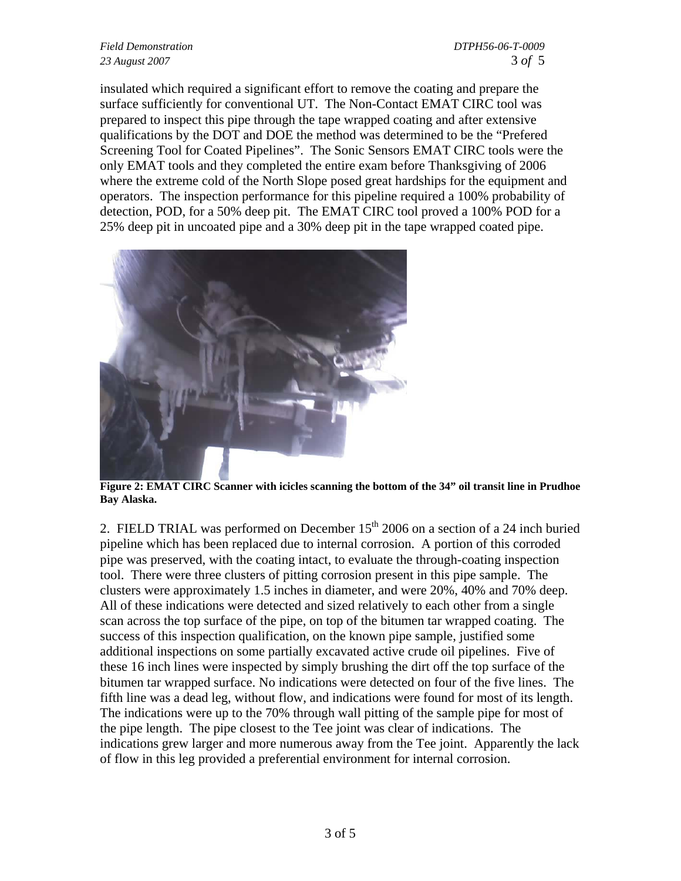#### *Field Demonstration DTPH56-06-T-0009 23 August 2007* 3 *of* 5

insulated which required a significant effort to remove the coating and prepare the surface sufficiently for conventional UT. The Non-Contact EMAT CIRC tool was prepared to inspect this pipe through the tape wrapped coating and after extensive qualifications by the DOT and DOE the method was determined to be the "Prefered Screening Tool for Coated Pipelines". The Sonic Sensors EMAT CIRC tools were the only EMAT tools and they completed the entire exam before Thanksgiving of 2006 where the extreme cold of the North Slope posed great hardships for the equipment and operators. The inspection performance for this pipeline required a 100% probability of detection, POD, for a 50% deep pit. The EMAT CIRC tool proved a 100% POD for a 25% deep pit in uncoated pipe and a 30% deep pit in the tape wrapped coated pipe.



**Figure 2: EMAT CIRC Scanner with icicles scanning the bottom of the 34" oil transit line in Prudhoe Bay Alaska.** 

2. FIELD TRIAL was performed on December  $15<sup>th</sup>$  2006 on a section of a 24 inch buried pipeline which has been replaced due to internal corrosion. A portion of this corroded pipe was preserved, with the coating intact, to evaluate the through-coating inspection tool. There were three clusters of pitting corrosion present in this pipe sample. The clusters were approximately 1.5 inches in diameter, and were 20%, 40% and 70% deep. All of these indications were detected and sized relatively to each other from a single scan across the top surface of the pipe, on top of the bitumen tar wrapped coating. The success of this inspection qualification, on the known pipe sample, justified some additional inspections on some partially excavated active crude oil pipelines. Five of these 16 inch lines were inspected by simply brushing the dirt off the top surface of the bitumen tar wrapped surface. No indications were detected on four of the five lines. The fifth line was a dead leg, without flow, and indications were found for most of its length. The indications were up to the 70% through wall pitting of the sample pipe for most of the pipe length. The pipe closest to the Tee joint was clear of indications. The indications grew larger and more numerous away from the Tee joint. Apparently the lack of flow in this leg provided a preferential environment for internal corrosion.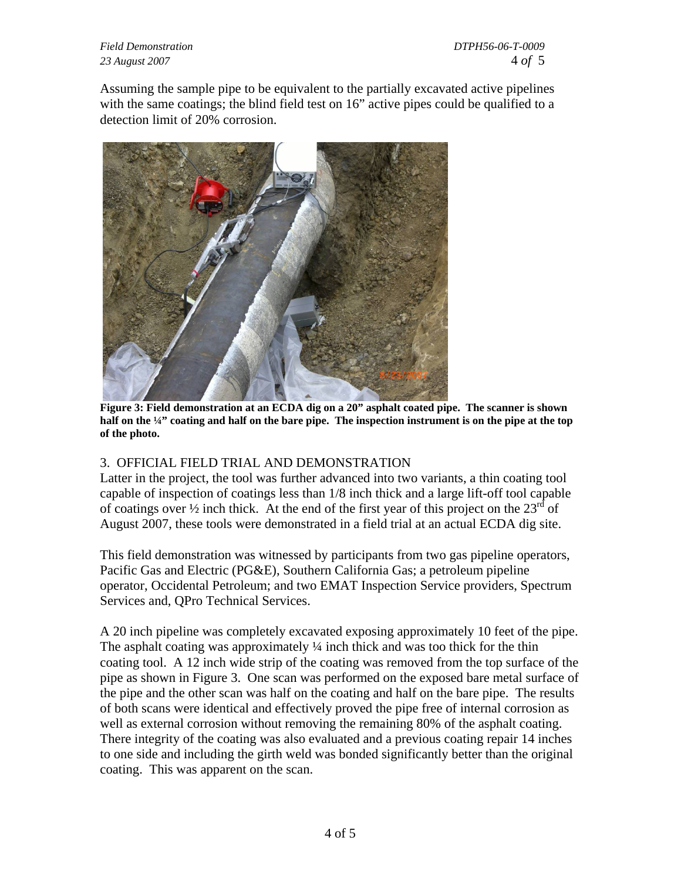*Field Demonstration DTPH56-06-T-0009 23 August 2007* 4 *of* 5

Assuming the sample pipe to be equivalent to the partially excavated active pipelines with the same coatings; the blind field test on 16" active pipes could be qualified to a detection limit of 20% corrosion.



**Figure 3: Field demonstration at an ECDA dig on a 20" asphalt coated pipe. The scanner is shown half on the ¼" coating and half on the bare pipe. The inspection instrument is on the pipe at the top of the photo.** 

#### 3. OFFICIAL FIELD TRIAL AND DEMONSTRATION

Latter in the project, the tool was further advanced into two variants, a thin coating tool capable of inspection of coatings less than 1/8 inch thick and a large lift-off tool capable of coatings over  $\frac{1}{2}$  inch thick. At the end of the first year of this project on the  $23^{\text{rd}}$  of August 2007, these tools were demonstrated in a field trial at an actual ECDA dig site.

This field demonstration was witnessed by participants from two gas pipeline operators, Pacific Gas and Electric (PG&E), Southern California Gas; a petroleum pipeline operator, Occidental Petroleum; and two EMAT Inspection Service providers, Spectrum Services and, QPro Technical Services.

A 20 inch pipeline was completely excavated exposing approximately 10 feet of the pipe. The asphalt coating was approximately  $\frac{1}{4}$  inch thick and was too thick for the thin coating tool. A 12 inch wide strip of the coating was removed from the top surface of the pipe as shown in Figure 3. One scan was performed on the exposed bare metal surface of the pipe and the other scan was half on the coating and half on the bare pipe. The results of both scans were identical and effectively proved the pipe free of internal corrosion as well as external corrosion without removing the remaining 80% of the asphalt coating. There integrity of the coating was also evaluated and a previous coating repair 14 inches to one side and including the girth weld was bonded significantly better than the original coating. This was apparent on the scan.